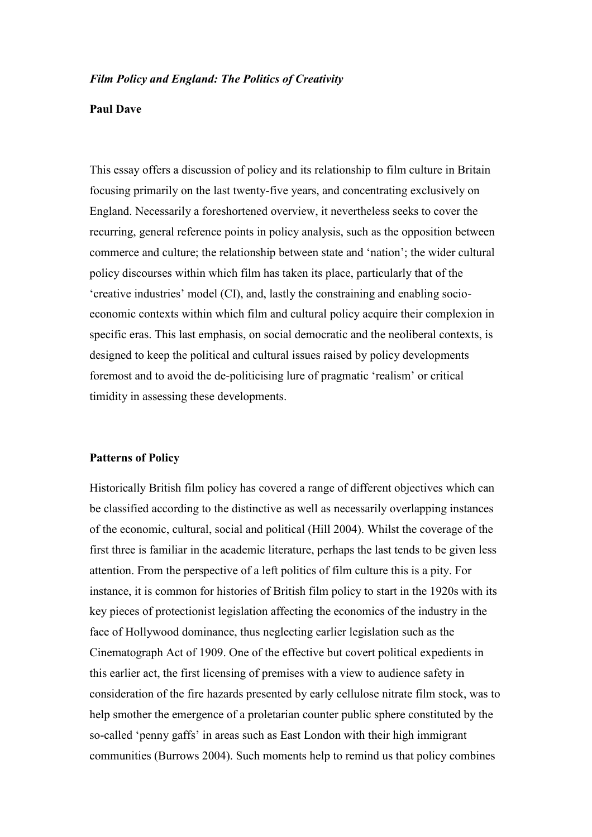### *Film Policy and England: The Politics of Creativity*

### **Paul Dave**

This essay offers a discussion of policy and its relationship to film culture in Britain focusing primarily on the last twenty-five years, and concentrating exclusively on England. Necessarily a foreshortened overview, it nevertheless seeks to cover the recurring, general reference points in policy analysis, such as the opposition between commerce and culture; the relationship between state and 'nation'; the wider cultural policy discourses within which film has taken its place, particularly that of the 'creative industries' model (CI), and, lastly the constraining and enabling socioeconomic contexts within which film and cultural policy acquire their complexion in specific eras. This last emphasis, on social democratic and the neoliberal contexts, is designed to keep the political and cultural issues raised by policy developments foremost and to avoid the de-politicising lure of pragmatic 'realism' or critical timidity in assessing these developments.

#### **Patterns of Policy**

Historically British film policy has covered a range of different objectives which can be classified according to the distinctive as well as necessarily overlapping instances of the economic, cultural, social and political (Hill 2004). Whilst the coverage of the first three is familiar in the academic literature, perhaps the last tends to be given less attention. From the perspective of a left politics of film culture this is a pity. For instance, it is common for histories of British film policy to start in the 1920s with its key pieces of protectionist legislation affecting the economics of the industry in the face of Hollywood dominance, thus neglecting earlier legislation such as the Cinematograph Act of 1909. One of the effective but covert political expedients in this earlier act, the first licensing of premises with a view to audience safety in consideration of the fire hazards presented by early cellulose nitrate film stock, was to help smother the emergence of a proletarian counter public sphere constituted by the so-called 'penny gaffs' in areas such as East London with their high immigrant communities (Burrows 2004). Such moments help to remind us that policy combines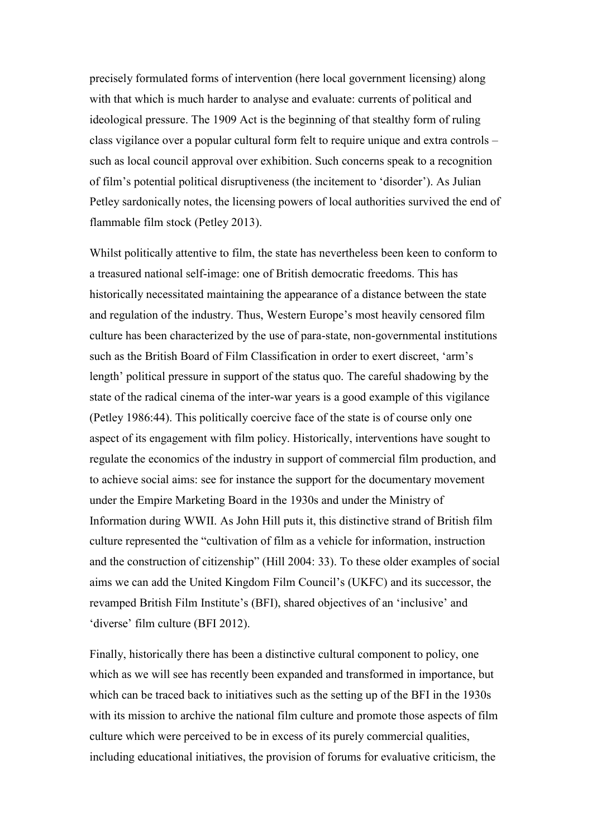precisely formulated forms of intervention (here local government licensing) along with that which is much harder to analyse and evaluate: currents of political and ideological pressure. The 1909 Act is the beginning of that stealthy form of ruling class vigilance over a popular cultural form felt to require unique and extra controls – such as local council approval over exhibition. Such concerns speak to a recognition of film's potential political disruptiveness (the incitement to 'disorder'). As Julian Petley sardonically notes, the licensing powers of local authorities survived the end of flammable film stock (Petley 2013).

Whilst politically attentive to film, the state has nevertheless been keen to conform to a treasured national self-image: one of British democratic freedoms. This has historically necessitated maintaining the appearance of a distance between the state and regulation of the industry. Thus, Western Europe's most heavily censored film culture has been characterized by the use of para-state, non-governmental institutions such as the British Board of Film Classification in order to exert discreet, 'arm's length' political pressure in support of the status quo. The careful shadowing by the state of the radical cinema of the inter-war years is a good example of this vigilance (Petley 1986:44). This politically coercive face of the state is of course only one aspect of its engagement with film policy. Historically, interventions have sought to regulate the economics of the industry in support of commercial film production, and to achieve social aims: see for instance the support for the documentary movement under the Empire Marketing Board in the 1930s and under the Ministry of Information during WWII. As John Hill puts it, this distinctive strand of British film culture represented the "cultivation of film as a vehicle for information, instruction and the construction of citizenship" (Hill 2004: 33). To these older examples of social aims we can add the United Kingdom Film Council's (UKFC) and its successor, the revamped British Film Institute's (BFI), shared objectives of an 'inclusive' and 'diverse' film culture (BFI 2012).

Finally, historically there has been a distinctive cultural component to policy, one which as we will see has recently been expanded and transformed in importance, but which can be traced back to initiatives such as the setting up of the BFI in the 1930s with its mission to archive the national film culture and promote those aspects of film culture which were perceived to be in excess of its purely commercial qualities, including educational initiatives, the provision of forums for evaluative criticism, the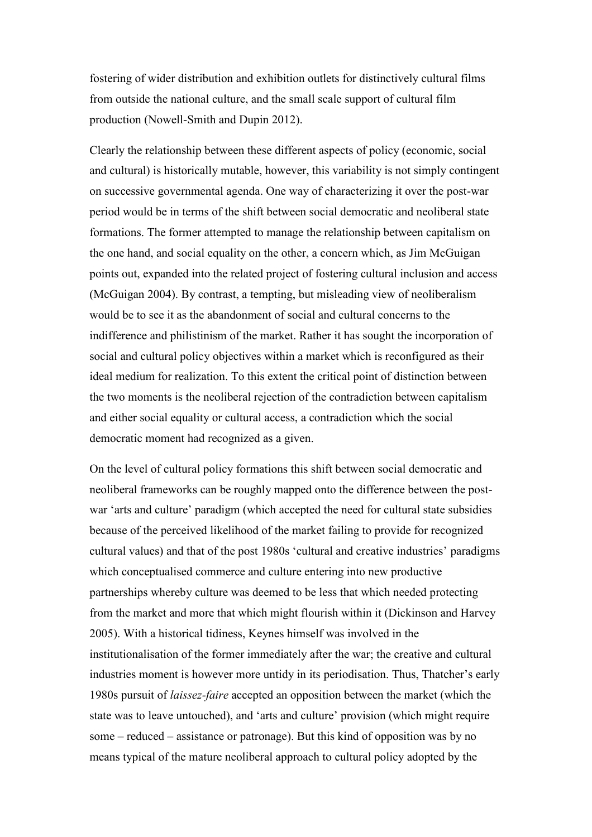fostering of wider distribution and exhibition outlets for distinctively cultural films from outside the national culture, and the small scale support of cultural film production (Nowell-Smith and Dupin 2012).

Clearly the relationship between these different aspects of policy (economic, social and cultural) is historically mutable, however, this variability is not simply contingent on successive governmental agenda. One way of characterizing it over the post-war period would be in terms of the shift between social democratic and neoliberal state formations. The former attempted to manage the relationship between capitalism on the one hand, and social equality on the other, a concern which, as Jim McGuigan points out, expanded into the related project of fostering cultural inclusion and access (McGuigan 2004). By contrast, a tempting, but misleading view of neoliberalism would be to see it as the abandonment of social and cultural concerns to the indifference and philistinism of the market. Rather it has sought the incorporation of social and cultural policy objectives within a market which is reconfigured as their ideal medium for realization. To this extent the critical point of distinction between the two moments is the neoliberal rejection of the contradiction between capitalism and either social equality or cultural access, a contradiction which the social democratic moment had recognized as a given.

On the level of cultural policy formations this shift between social democratic and neoliberal frameworks can be roughly mapped onto the difference between the postwar 'arts and culture' paradigm (which accepted the need for cultural state subsidies because of the perceived likelihood of the market failing to provide for recognized cultural values) and that of the post 1980s 'cultural and creative industries' paradigms which conceptualised commerce and culture entering into new productive partnerships whereby culture was deemed to be less that which needed protecting from the market and more that which might flourish within it (Dickinson and Harvey 2005). With a historical tidiness, Keynes himself was involved in the institutionalisation of the former immediately after the war; the creative and cultural industries moment is however more untidy in its periodisation. Thus, Thatcher's early 1980s pursuit of *laissez-faire* accepted an opposition between the market (which the state was to leave untouched), and 'arts and culture' provision (which might require some – reduced – assistance or patronage). But this kind of opposition was by no means typical of the mature neoliberal approach to cultural policy adopted by the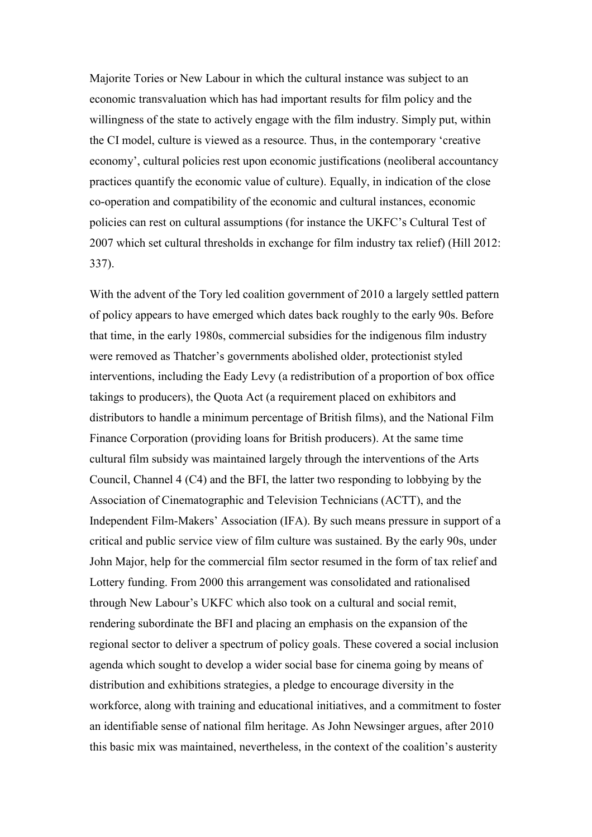Majorite Tories or New Labour in which the cultural instance was subject to an economic transvaluation which has had important results for film policy and the willingness of the state to actively engage with the film industry. Simply put, within the CI model, culture is viewed as a resource. Thus, in the contemporary 'creative economy', cultural policies rest upon economic justifications (neoliberal accountancy practices quantify the economic value of culture). Equally, in indication of the close co-operation and compatibility of the economic and cultural instances, economic policies can rest on cultural assumptions (for instance the UKFC's Cultural Test of 2007 which set cultural thresholds in exchange for film industry tax relief) (Hill 2012: 337).

With the advent of the Tory led coalition government of 2010 a largely settled pattern of policy appears to have emerged which dates back roughly to the early 90s. Before that time, in the early 1980s, commercial subsidies for the indigenous film industry were removed as Thatcher's governments abolished older, protectionist styled interventions, including the Eady Levy (a redistribution of a proportion of box office takings to producers), the Quota Act (a requirement placed on exhibitors and distributors to handle a minimum percentage of British films), and the National Film Finance Corporation (providing loans for British producers). At the same time cultural film subsidy was maintained largely through the interventions of the Arts Council, Channel 4 (C4) and the BFI, the latter two responding to lobbying by the Association of Cinematographic and Television Technicians (ACTT), and the Independent Film-Makers' Association (IFA). By such means pressure in support of a critical and public service view of film culture was sustained. By the early 90s, under John Major, help for the commercial film sector resumed in the form of tax relief and Lottery funding. From 2000 this arrangement was consolidated and rationalised through New Labour's UKFC which also took on a cultural and social remit, rendering subordinate the BFI and placing an emphasis on the expansion of the regional sector to deliver a spectrum of policy goals. These covered a social inclusion agenda which sought to develop a wider social base for cinema going by means of distribution and exhibitions strategies, a pledge to encourage diversity in the workforce, along with training and educational initiatives, and a commitment to foster an identifiable sense of national film heritage. As John Newsinger argues, after 2010 this basic mix was maintained, nevertheless, in the context of the coalition's austerity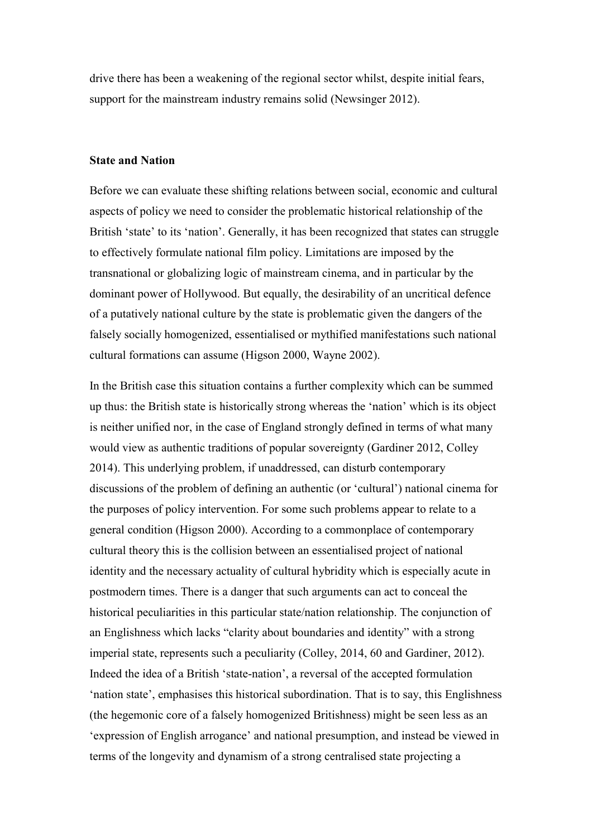drive there has been a weakening of the regional sector whilst, despite initial fears, support for the mainstream industry remains solid (Newsinger 2012).

# **State and Nation**

Before we can evaluate these shifting relations between social, economic and cultural aspects of policy we need to consider the problematic historical relationship of the British 'state' to its 'nation'. Generally, it has been recognized that states can struggle to effectively formulate national film policy. Limitations are imposed by the transnational or globalizing logic of mainstream cinema, and in particular by the dominant power of Hollywood. But equally, the desirability of an uncritical defence of a putatively national culture by the state is problematic given the dangers of the falsely socially homogenized, essentialised or mythified manifestations such national cultural formations can assume (Higson 2000, Wayne 2002).

In the British case this situation contains a further complexity which can be summed up thus: the British state is historically strong whereas the 'nation' which is its object is neither unified nor, in the case of England strongly defined in terms of what many would view as authentic traditions of popular sovereignty (Gardiner 2012, Colley 2014). This underlying problem, if unaddressed, can disturb contemporary discussions of the problem of defining an authentic (or 'cultural') national cinema for the purposes of policy intervention. For some such problems appear to relate to a general condition (Higson 2000). According to a commonplace of contemporary cultural theory this is the collision between an essentialised project of national identity and the necessary actuality of cultural hybridity which is especially acute in postmodern times. There is a danger that such arguments can act to conceal the historical peculiarities in this particular state/nation relationship. The conjunction of an Englishness which lacks "clarity about boundaries and identity" with a strong imperial state, represents such a peculiarity (Colley, 2014, 60 and Gardiner, 2012). Indeed the idea of a British 'state-nation', a reversal of the accepted formulation 'nation state', emphasises this historical subordination. That is to say, this Englishness (the hegemonic core of a falsely homogenized Britishness) might be seen less as an 'expression of English arrogance' and national presumption, and instead be viewed in terms of the longevity and dynamism of a strong centralised state projecting a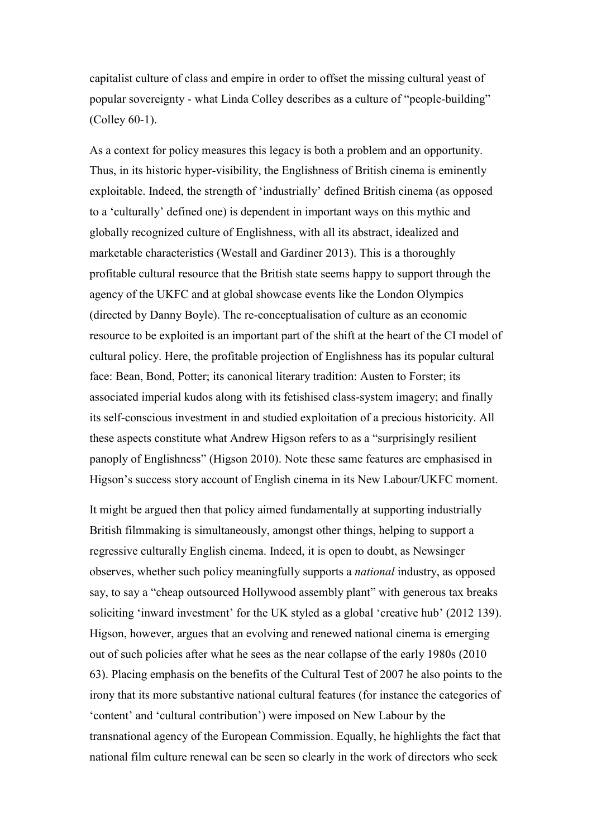capitalist culture of class and empire in order to offset the missing cultural yeast of popular sovereignty - what Linda Colley describes as a culture of "people-building" (Colley 60-1).

As a context for policy measures this legacy is both a problem and an opportunity. Thus, in its historic hyper-visibility, the Englishness of British cinema is eminently exploitable. Indeed, the strength of 'industrially' defined British cinema (as opposed to a 'culturally' defined one) is dependent in important ways on this mythic and globally recognized culture of Englishness, with all its abstract, idealized and marketable characteristics (Westall and Gardiner 2013). This is a thoroughly profitable cultural resource that the British state seems happy to support through the agency of the UKFC and at global showcase events like the London Olympics (directed by Danny Boyle). The re-conceptualisation of culture as an economic resource to be exploited is an important part of the shift at the heart of the CI model of cultural policy. Here, the profitable projection of Englishness has its popular cultural face: Bean, Bond, Potter; its canonical literary tradition: Austen to Forster; its associated imperial kudos along with its fetishised class-system imagery; and finally its self-conscious investment in and studied exploitation of a precious historicity. All these aspects constitute what Andrew Higson refers to as a "surprisingly resilient panoply of Englishness" (Higson 2010). Note these same features are emphasised in Higson's success story account of English cinema in its New Labour/UKFC moment.

It might be argued then that policy aimed fundamentally at supporting industrially British filmmaking is simultaneously, amongst other things, helping to support a regressive culturally English cinema. Indeed, it is open to doubt, as Newsinger observes, whether such policy meaningfully supports a *national* industry, as opposed say, to say a "cheap outsourced Hollywood assembly plant" with generous tax breaks soliciting 'inward investment' for the UK styled as a global 'creative hub' (2012 139). Higson, however, argues that an evolving and renewed national cinema is emerging out of such policies after what he sees as the near collapse of the early 1980s (2010 63). Placing emphasis on the benefits of the Cultural Test of 2007 he also points to the irony that its more substantive national cultural features (for instance the categories of 'content' and 'cultural contribution') were imposed on New Labour by the transnational agency of the European Commission. Equally, he highlights the fact that national film culture renewal can be seen so clearly in the work of directors who seek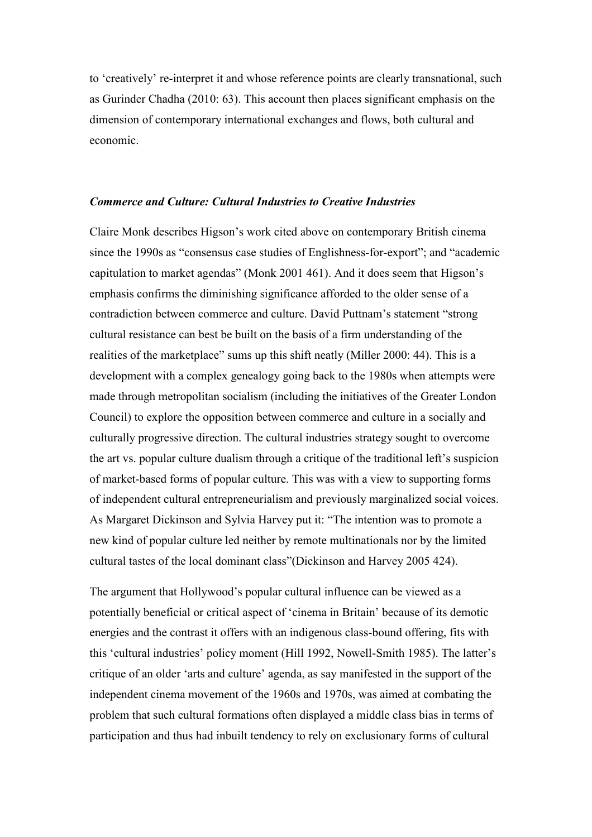to 'creatively' re-interpret it and whose reference points are clearly transnational, such as Gurinder Chadha (2010: 63). This account then places significant emphasis on the dimension of contemporary international exchanges and flows, both cultural and economic.

# *Commerce and Culture: Cultural Industries to Creative Industries*

Claire Monk describes Higson's work cited above on contemporary British cinema since the 1990s as "consensus case studies of Englishness-for-export"; and "academic capitulation to market agendas" (Monk 2001 461). And it does seem that Higson's emphasis confirms the diminishing significance afforded to the older sense of a contradiction between commerce and culture. David Puttnam's statement "strong cultural resistance can best be built on the basis of a firm understanding of the realities of the marketplace" sums up this shift neatly (Miller 2000: 44). This is a development with a complex genealogy going back to the 1980s when attempts were made through metropolitan socialism (including the initiatives of the Greater London Council) to explore the opposition between commerce and culture in a socially and culturally progressive direction. The cultural industries strategy sought to overcome the art vs. popular culture dualism through a critique of the traditional left's suspicion of market-based forms of popular culture. This was with a view to supporting forms of independent cultural entrepreneurialism and previously marginalized social voices. As Margaret Dickinson and Sylvia Harvey put it: "The intention was to promote a new kind of popular culture led neither by remote multinationals nor by the limited cultural tastes of the local dominant class"(Dickinson and Harvey 2005 424).

The argument that Hollywood's popular cultural influence can be viewed as a potentially beneficial or critical aspect of 'cinema in Britain' because of its demotic energies and the contrast it offers with an indigenous class-bound offering, fits with this 'cultural industries' policy moment (Hill 1992, Nowell-Smith 1985). The latter's critique of an older 'arts and culture' agenda, as say manifested in the support of the independent cinema movement of the 1960s and 1970s, was aimed at combating the problem that such cultural formations often displayed a middle class bias in terms of participation and thus had inbuilt tendency to rely on exclusionary forms of cultural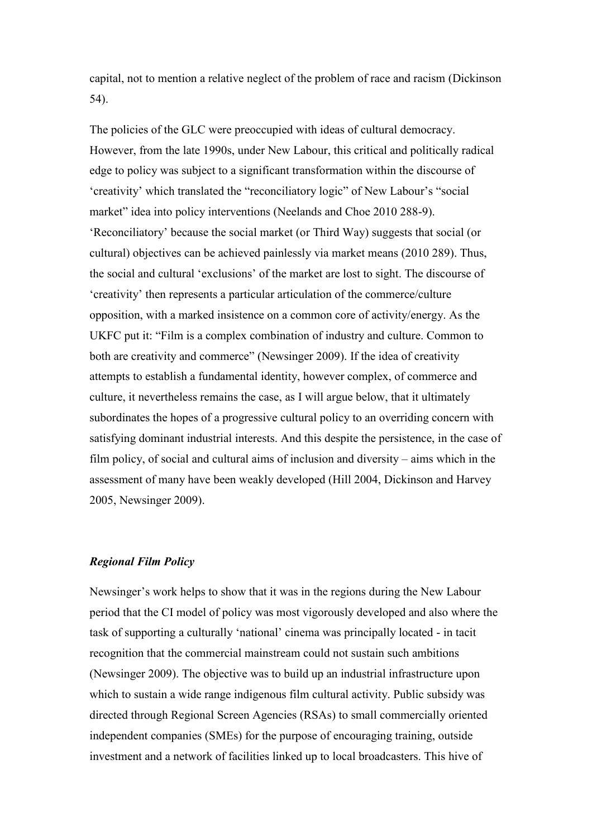capital, not to mention a relative neglect of the problem of race and racism (Dickinson 54).

The policies of the GLC were preoccupied with ideas of cultural democracy. However, from the late 1990s, under New Labour, this critical and politically radical edge to policy was subject to a significant transformation within the discourse of 'creativity' which translated the "reconciliatory logic" of New Labour's "social market" idea into policy interventions (Neelands and Choe 2010 288-9). 'Reconciliatory' because the social market (or Third Way) suggests that social (or cultural) objectives can be achieved painlessly via market means (2010 289). Thus, the social and cultural 'exclusions' of the market are lost to sight. The discourse of 'creativity' then represents a particular articulation of the commerce/culture opposition, with a marked insistence on a common core of activity/energy. As the UKFC put it: "Film is a complex combination of industry and culture. Common to both are creativity and commerce" (Newsinger 2009). If the idea of creativity attempts to establish a fundamental identity, however complex, of commerce and culture, it nevertheless remains the case, as I will argue below, that it ultimately subordinates the hopes of a progressive cultural policy to an overriding concern with satisfying dominant industrial interests. And this despite the persistence, in the case of film policy, of social and cultural aims of inclusion and diversity – aims which in the assessment of many have been weakly developed (Hill 2004, Dickinson and Harvey 2005, Newsinger 2009).

## *Regional Film Policy*

Newsinger's work helps to show that it was in the regions during the New Labour period that the CI model of policy was most vigorously developed and also where the task of supporting a culturally 'national' cinema was principally located - in tacit recognition that the commercial mainstream could not sustain such ambitions (Newsinger 2009). The objective was to build up an industrial infrastructure upon which to sustain a wide range indigenous film cultural activity. Public subsidy was directed through Regional Screen Agencies (RSAs) to small commercially oriented independent companies (SMEs) for the purpose of encouraging training, outside investment and a network of facilities linked up to local broadcasters. This hive of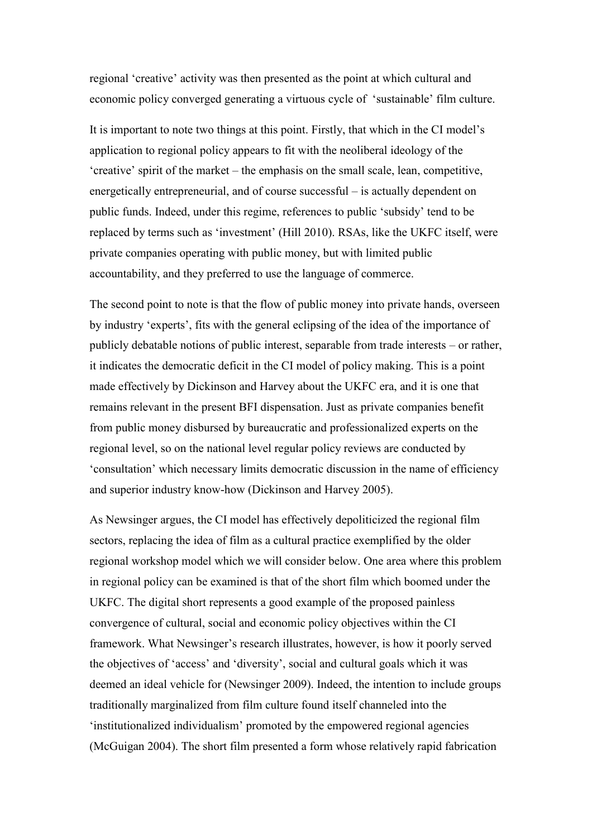regional 'creative' activity was then presented as the point at which cultural and economic policy converged generating a virtuous cycle of 'sustainable' film culture.

It is important to note two things at this point. Firstly, that which in the CI model's application to regional policy appears to fit with the neoliberal ideology of the 'creative' spirit of the market – the emphasis on the small scale, lean, competitive, energetically entrepreneurial, and of course successful – is actually dependent on public funds. Indeed, under this regime, references to public 'subsidy' tend to be replaced by terms such as 'investment' (Hill 2010). RSAs, like the UKFC itself, were private companies operating with public money, but with limited public accountability, and they preferred to use the language of commerce.

The second point to note is that the flow of public money into private hands, overseen by industry 'experts', fits with the general eclipsing of the idea of the importance of publicly debatable notions of public interest, separable from trade interests – or rather, it indicates the democratic deficit in the CI model of policy making. This is a point made effectively by Dickinson and Harvey about the UKFC era, and it is one that remains relevant in the present BFI dispensation. Just as private companies benefit from public money disbursed by bureaucratic and professionalized experts on the regional level, so on the national level regular policy reviews are conducted by 'consultation' which necessary limits democratic discussion in the name of efficiency and superior industry know-how (Dickinson and Harvey 2005).

As Newsinger argues, the CI model has effectively depoliticized the regional film sectors, replacing the idea of film as a cultural practice exemplified by the older regional workshop model which we will consider below. One area where this problem in regional policy can be examined is that of the short film which boomed under the UKFC. The digital short represents a good example of the proposed painless convergence of cultural, social and economic policy objectives within the CI framework. What Newsinger's research illustrates, however, is how it poorly served the objectives of 'access' and 'diversity', social and cultural goals which it was deemed an ideal vehicle for (Newsinger 2009). Indeed, the intention to include groups traditionally marginalized from film culture found itself channeled into the 'institutionalized individualism' promoted by the empowered regional agencies (McGuigan 2004). The short film presented a form whose relatively rapid fabrication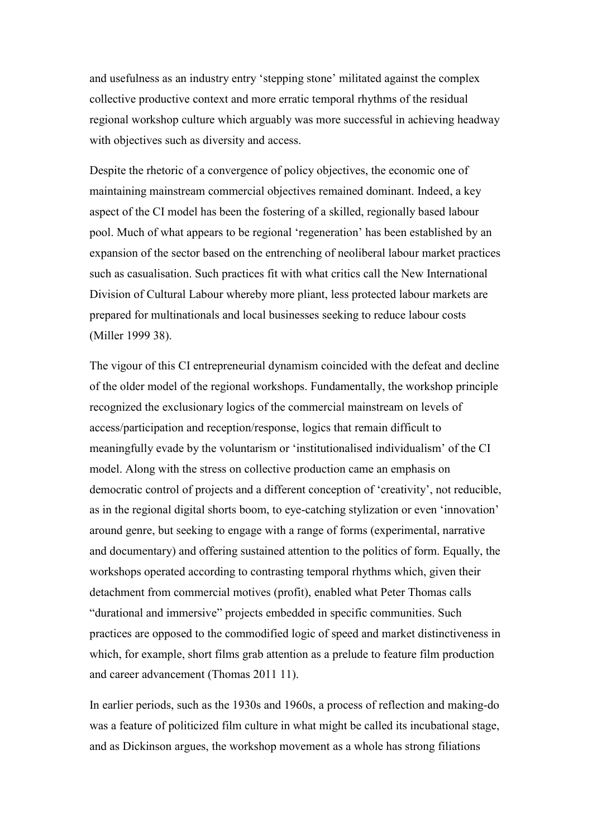and usefulness as an industry entry 'stepping stone' militated against the complex collective productive context and more erratic temporal rhythms of the residual regional workshop culture which arguably was more successful in achieving headway with objectives such as diversity and access.

Despite the rhetoric of a convergence of policy objectives, the economic one of maintaining mainstream commercial objectives remained dominant. Indeed, a key aspect of the CI model has been the fostering of a skilled, regionally based labour pool. Much of what appears to be regional 'regeneration' has been established by an expansion of the sector based on the entrenching of neoliberal labour market practices such as casualisation. Such practices fit with what critics call the New International Division of Cultural Labour whereby more pliant, less protected labour markets are prepared for multinationals and local businesses seeking to reduce labour costs (Miller 1999 38).

The vigour of this CI entrepreneurial dynamism coincided with the defeat and decline of the older model of the regional workshops. Fundamentally, the workshop principle recognized the exclusionary logics of the commercial mainstream on levels of access/participation and reception/response, logics that remain difficult to meaningfully evade by the voluntarism or 'institutionalised individualism' of the CI model. Along with the stress on collective production came an emphasis on democratic control of projects and a different conception of 'creativity', not reducible, as in the regional digital shorts boom, to eye-catching stylization or even 'innovation' around genre, but seeking to engage with a range of forms (experimental, narrative and documentary) and offering sustained attention to the politics of form. Equally, the workshops operated according to contrasting temporal rhythms which, given their detachment from commercial motives (profit), enabled what Peter Thomas calls "durational and immersive" projects embedded in specific communities. Such practices are opposed to the commodified logic of speed and market distinctiveness in which, for example, short films grab attention as a prelude to feature film production and career advancement (Thomas 2011 11).

In earlier periods, such as the 1930s and 1960s, a process of reflection and making-do was a feature of politicized film culture in what might be called its incubational stage, and as Dickinson argues, the workshop movement as a whole has strong filiations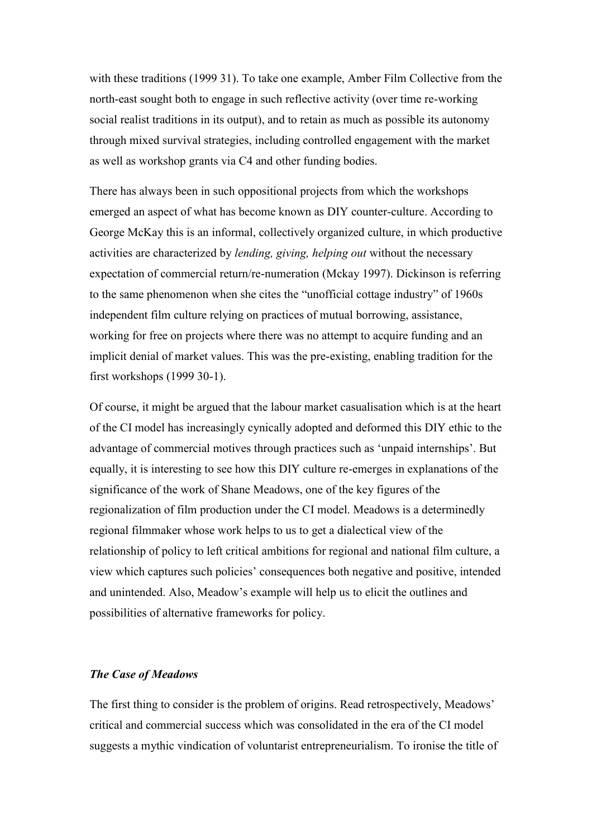with these traditions (1999 31). To take one example, Amber Film Collective from the north-east sought both to engage in such reflective activity (over time re-working social realist traditions in its output), and to retain as much as possible its autonomy through mixed survival strategies, including controlled engagement with the market as well as workshop grants via C4 and other funding bodies.

There has always been in such oppositional projects from which the workshops emerged an aspect of what has become known as DIY counter-culture. According to George McKay this is an informal, collectively organized culture, in which productive activities are characterized by *lending, giving, helping out* without the necessary expectation of commercial return/re-numeration (Mckay 1997). Dickinson is referring to the same phenomenon when she cites the "unofficial cottage industry" of 1960s independent film culture relying on practices of mutual borrowing, assistance, working for free on projects where there was no attempt to acquire funding and an implicit denial of market values. This was the pre-existing, enabling tradition for the first workshops (1999 30-1).

Of course, it might be argued that the labour market casualisation which is at the heart of the CI model has increasingly cynically adopted and deformed this DIY ethic to the advantage of commercial motives through practices such as 'unpaid internships'. But equally, it is interesting to see how this DIY culture re-emerges in explanations of the significance of the work of Shane Meadows, one of the key figures of the regionalization of film production under the CI model. Meadows is a determinedly regional filmmaker whose work helps to us to get a dialectical view of the relationship of policy to left critical ambitions for regional and national film culture, a view which captures such policies' consequences both negative and positive, intended and unintended. Also, Meadow's example will help us to elicit the outlines and possibilities of alternative frameworks for policy.

#### *The Case of Meadows*

The first thing to consider is the problem of origins. Read retrospectively, Meadows' critical and commercial success which was consolidated in the era of the CI model suggests a mythic vindication of voluntarist entrepreneurialism. To ironise the title of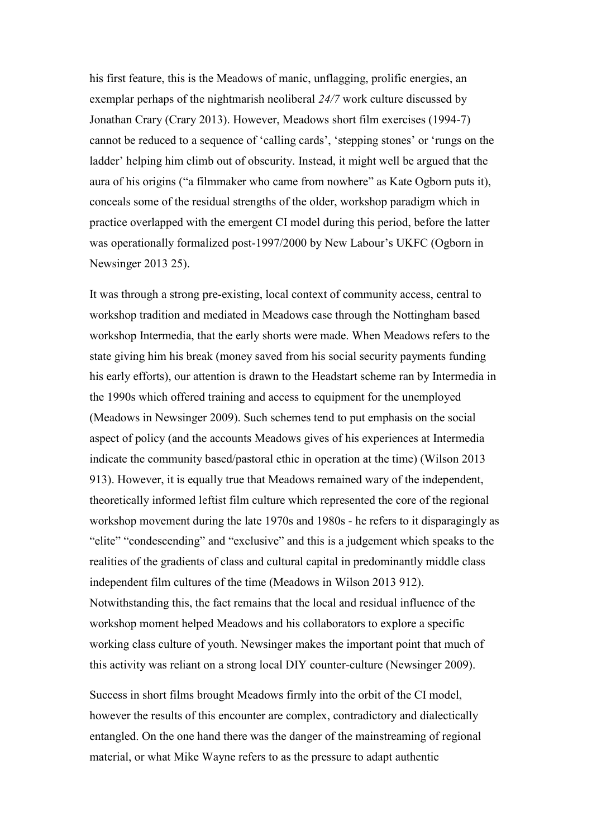his first feature, this is the Meadows of manic, unflagging, prolific energies, an exemplar perhaps of the nightmarish neoliberal *24/7* work culture discussed by Jonathan Crary (Crary 2013). However, Meadows short film exercises (1994-7) cannot be reduced to a sequence of 'calling cards', 'stepping stones' or 'rungs on the ladder' helping him climb out of obscurity. Instead, it might well be argued that the aura of his origins ("a filmmaker who came from nowhere" as Kate Ogborn puts it), conceals some of the residual strengths of the older, workshop paradigm which in practice overlapped with the emergent CI model during this period, before the latter was operationally formalized post-1997/2000 by New Labour's UKFC (Ogborn in Newsinger 2013 25).

It was through a strong pre-existing, local context of community access, central to workshop tradition and mediated in Meadows case through the Nottingham based workshop Intermedia, that the early shorts were made. When Meadows refers to the state giving him his break (money saved from his social security payments funding his early efforts), our attention is drawn to the Headstart scheme ran by Intermedia in the 1990s which offered training and access to equipment for the unemployed (Meadows in Newsinger 2009). Such schemes tend to put emphasis on the social aspect of policy (and the accounts Meadows gives of his experiences at Intermedia indicate the community based/pastoral ethic in operation at the time) (Wilson 2013 913). However, it is equally true that Meadows remained wary of the independent, theoretically informed leftist film culture which represented the core of the regional workshop movement during the late 1970s and 1980s - he refers to it disparagingly as "elite" "condescending" and "exclusive" and this is a judgement which speaks to the realities of the gradients of class and cultural capital in predominantly middle class independent film cultures of the time (Meadows in Wilson 2013 912). Notwithstanding this, the fact remains that the local and residual influence of the workshop moment helped Meadows and his collaborators to explore a specific working class culture of youth. Newsinger makes the important point that much of this activity was reliant on a strong local DIY counter-culture (Newsinger 2009).

Success in short films brought Meadows firmly into the orbit of the CI model, however the results of this encounter are complex, contradictory and dialectically entangled. On the one hand there was the danger of the mainstreaming of regional material, or what Mike Wayne refers to as the pressure to adapt authentic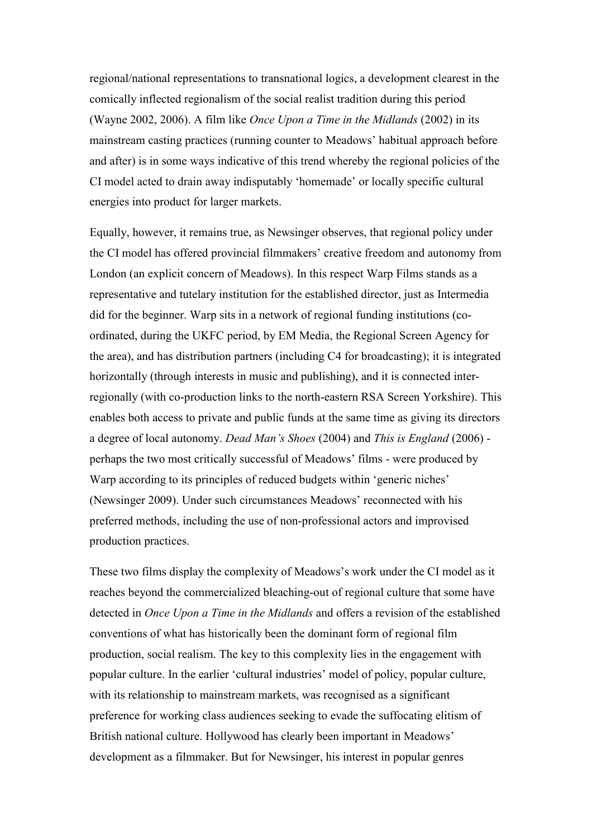regional/national representations to transnational logics, a development clearest in the comically inflected regionalism of the social realist tradition during this period (Wayne 2002, 2006). A film like *Once Upon a Time in the Midlands* (2002) in its mainstream casting practices (running counter to Meadows' habitual approach before and after) is in some ways indicative of this trend whereby the regional policies of the CI model acted to drain away indisputably 'homemade' or locally specific cultural energies into product for larger markets.

Equally, however, it remains true, as Newsinger observes, that regional policy under the CI model has offered provincial filmmakers' creative freedom and autonomy from London (an explicit concern of Meadows). In this respect Warp Films stands as a representative and tutelary institution for the established director, just as Intermedia did for the beginner. Warp sits in a network of regional funding institutions (coordinated, during the UKFC period, by EM Media, the Regional Screen Agency for the area), and has distribution partners (including C4 for broadcasting); it is integrated horizontally (through interests in music and publishing), and it is connected interregionally (with co-production links to the north-eastern RSA Screen Yorkshire). This enables both access to private and public funds at the same time as giving its directors a degree of local autonomy. *Dead Man's Shoes* (2004) and *This is England* (2006) perhaps the two most critically successful of Meadows' films - were produced by Warp according to its principles of reduced budgets within 'generic niches' (Newsinger 2009). Under such circumstances Meadows' reconnected with his preferred methods, including the use of non-professional actors and improvised production practices.

These two films display the complexity of Meadows's work under the CI model as it reaches beyond the commercialized bleaching-out of regional culture that some have detected in *Once Upon a Time in the Midlands* and offers a revision of the established conventions of what has historically been the dominant form of regional film production, social realism. The key to this complexity lies in the engagement with popular culture. In the earlier 'cultural industries' model of policy, popular culture, with its relationship to mainstream markets, was recognised as a significant preference for working class audiences seeking to evade the suffocating elitism of British national culture. Hollywood has clearly been important in Meadows' development as a filmmaker. But for Newsinger, his interest in popular genres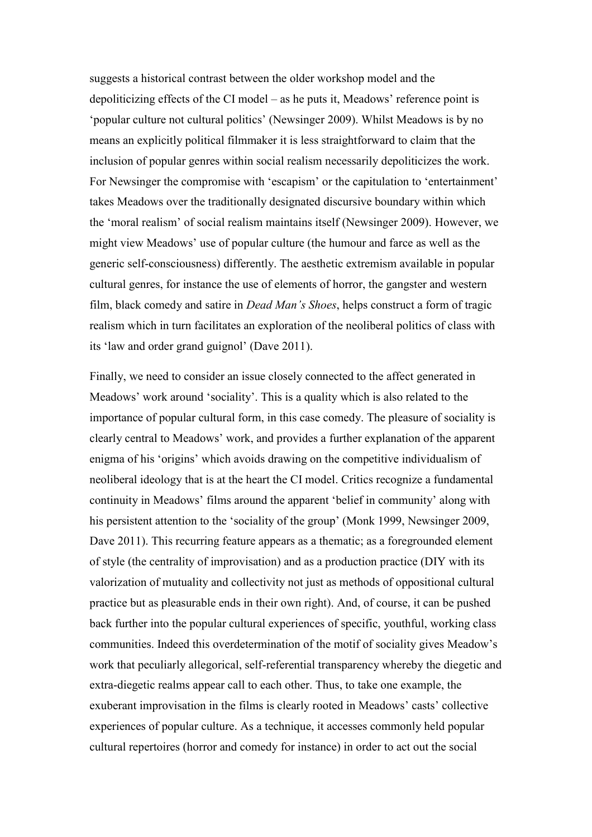suggests a historical contrast between the older workshop model and the depoliticizing effects of the CI model – as he puts it, Meadows' reference point is 'popular culture not cultural politics' (Newsinger 2009). Whilst Meadows is by no means an explicitly political filmmaker it is less straightforward to claim that the inclusion of popular genres within social realism necessarily depoliticizes the work. For Newsinger the compromise with 'escapism' or the capitulation to 'entertainment' takes Meadows over the traditionally designated discursive boundary within which the 'moral realism' of social realism maintains itself (Newsinger 2009). However, we might view Meadows' use of popular culture (the humour and farce as well as the generic self-consciousness) differently. The aesthetic extremism available in popular cultural genres, for instance the use of elements of horror, the gangster and western film, black comedy and satire in *Dead Man's Shoes*, helps construct a form of tragic realism which in turn facilitates an exploration of the neoliberal politics of class with its 'law and order grand guignol' (Dave 2011).

Finally, we need to consider an issue closely connected to the affect generated in Meadows' work around 'sociality'. This is a quality which is also related to the importance of popular cultural form, in this case comedy. The pleasure of sociality is clearly central to Meadows' work, and provides a further explanation of the apparent enigma of his 'origins' which avoids drawing on the competitive individualism of neoliberal ideology that is at the heart the CI model. Critics recognize a fundamental continuity in Meadows' films around the apparent 'belief in community' along with his persistent attention to the 'sociality of the group' (Monk 1999, Newsinger 2009, Dave 2011). This recurring feature appears as a thematic; as a foregrounded element of style (the centrality of improvisation) and as a production practice (DIY with its valorization of mutuality and collectivity not just as methods of oppositional cultural practice but as pleasurable ends in their own right). And, of course, it can be pushed back further into the popular cultural experiences of specific, youthful, working class communities. Indeed this overdetermination of the motif of sociality gives Meadow's work that peculiarly allegorical, self-referential transparency whereby the diegetic and extra-diegetic realms appear call to each other. Thus, to take one example, the exuberant improvisation in the films is clearly rooted in Meadows' casts' collective experiences of popular culture. As a technique, it accesses commonly held popular cultural repertoires (horror and comedy for instance) in order to act out the social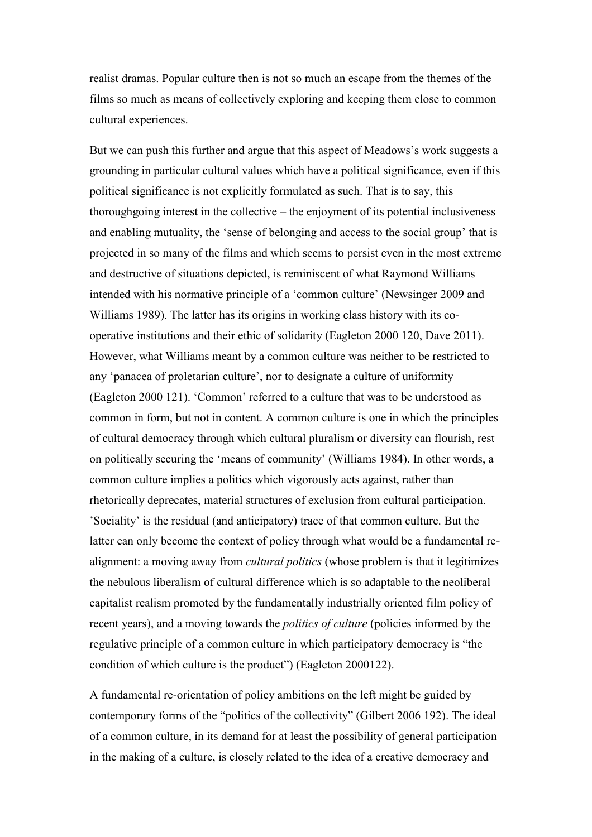realist dramas. Popular culture then is not so much an escape from the themes of the films so much as means of collectively exploring and keeping them close to common cultural experiences.

But we can push this further and argue that this aspect of Meadows's work suggests a grounding in particular cultural values which have a political significance, even if this political significance is not explicitly formulated as such. That is to say, this thoroughgoing interest in the collective – the enjoyment of its potential inclusiveness and enabling mutuality, the 'sense of belonging and access to the social group' that is projected in so many of the films and which seems to persist even in the most extreme and destructive of situations depicted, is reminiscent of what Raymond Williams intended with his normative principle of a 'common culture' (Newsinger 2009 and Williams 1989). The latter has its origins in working class history with its cooperative institutions and their ethic of solidarity (Eagleton 2000 120, Dave 2011). However, what Williams meant by a common culture was neither to be restricted to any 'panacea of proletarian culture', nor to designate a culture of uniformity (Eagleton 2000 121). 'Common' referred to a culture that was to be understood as common in form, but not in content. A common culture is one in which the principles of cultural democracy through which cultural pluralism or diversity can flourish, rest on politically securing the 'means of community' (Williams 1984). In other words, a common culture implies a politics which vigorously acts against, rather than rhetorically deprecates, material structures of exclusion from cultural participation. 'Sociality' is the residual (and anticipatory) trace of that common culture. But the latter can only become the context of policy through what would be a fundamental realignment: a moving away from *cultural politics* (whose problem is that it legitimizes the nebulous liberalism of cultural difference which is so adaptable to the neoliberal capitalist realism promoted by the fundamentally industrially oriented film policy of recent years), and a moving towards the *politics of culture* (policies informed by the regulative principle of a common culture in which participatory democracy is "the condition of which culture is the product") (Eagleton 2000122).

A fundamental re-orientation of policy ambitions on the left might be guided by contemporary forms of the "politics of the collectivity" (Gilbert 2006 192). The ideal of a common culture, in its demand for at least the possibility of general participation in the making of a culture, is closely related to the idea of a creative democracy and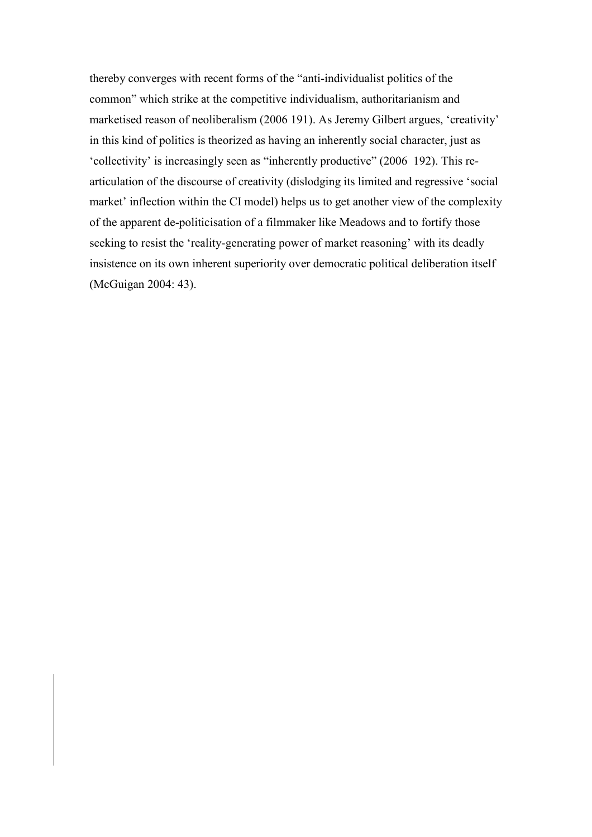thereby converges with recent forms of the "anti-individualist politics of the common" which strike at the competitive individualism, authoritarianism and marketised reason of neoliberalism (2006 191). As Jeremy Gilbert argues, 'creativity' in this kind of politics is theorized as having an inherently social character, just as 'collectivity' is increasingly seen as "inherently productive" (2006 192). This rearticulation of the discourse of creativity (dislodging its limited and regressive 'social market' inflection within the CI model) helps us to get another view of the complexity of the apparent de-politicisation of a filmmaker like Meadows and to fortify those seeking to resist the 'reality-generating power of market reasoning' with its deadly insistence on its own inherent superiority over democratic political deliberation itself (McGuigan 2004: 43).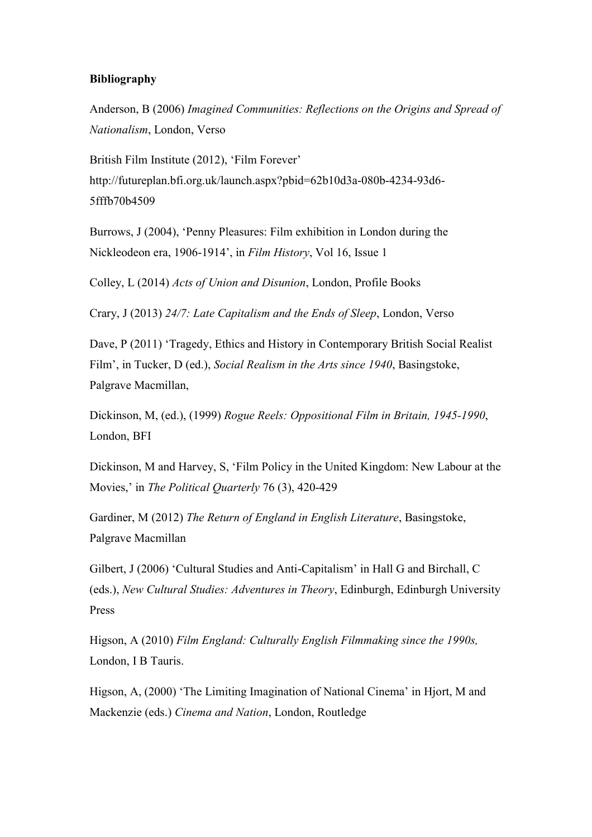# **Bibliography**

Anderson, B (2006) *Imagined Communities: Reflections on the Origins and Spread of Nationalism*, London, Verso

British Film Institute (2012), 'Film Forever' http://futureplan.bfi.org.uk/launch.aspx?pbid=62b10d3a-080b-4234-93d6- 5fffb70b4509

Burrows, J (2004), 'Penny Pleasures: Film exhibition in London during the Nickleodeon era, 1906-1914', in *Film History*, Vol 16, Issue 1

Colley, L (2014) *Acts of Union and Disunion*, London, Profile Books

Crary, J (2013) *24/7: Late Capitalism and the Ends of Sleep*, London, Verso

Dave, P (2011) 'Tragedy, Ethics and History in Contemporary British Social Realist Film', in Tucker, D (ed.), *Social Realism in the Arts since 1940*, Basingstoke, Palgrave Macmillan,

Dickinson, M, (ed.), (1999) *Rogue Reels: Oppositional Film in Britain, 1945-1990*, London, BFI

Dickinson, M and Harvey, S, 'Film Policy in the United Kingdom: New Labour at the Movies,' in *The Political Quarterly* 76 (3), 420-429

Gardiner, M (2012) *The Return of England in English Literature*, Basingstoke, Palgrave Macmillan

Gilbert, J (2006) 'Cultural Studies and Anti-Capitalism' in Hall G and Birchall, C (eds.), *New Cultural Studies: Adventures in Theory*, Edinburgh, Edinburgh University Press

Higson, A (2010) *Film England: Culturally English Filmmaking since the 1990s,* London, I B Tauris.

Higson, A, (2000) 'The Limiting Imagination of National Cinema' in Hjort, M and Mackenzie (eds.) *Cinema and Nation*, London, Routledge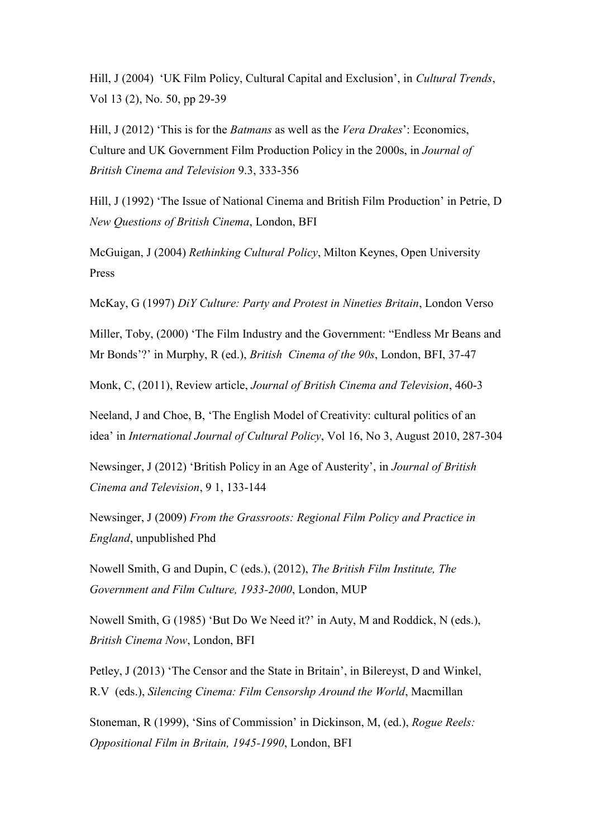Hill, J (2004) 'UK Film Policy, Cultural Capital and Exclusion', in *Cultural Trends*, Vol 13 (2), No. 50, pp 29-39

Hill, J (2012) 'This is for the *Batmans* as well as the *Vera Drakes*': Economics, Culture and UK Government Film Production Policy in the 2000s, in *Journal of British Cinema and Television* 9.3, 333-356

Hill, J (1992) 'The Issue of National Cinema and British Film Production' in Petrie, D *New Questions of British Cinema*, London, BFI

McGuigan, J (2004) *Rethinking Cultural Policy*, Milton Keynes, Open University Press

McKay, G (1997) *DiY Culture: Party and Protest in Nineties Britain*, London Verso

Miller, Toby, (2000) 'The Film Industry and the Government: "Endless Mr Beans and Mr Bonds'?' in Murphy, R (ed.), *British Cinema of the 90s*, London, BFI, 37-47

Monk, C, (2011), Review article, *Journal of British Cinema and Television*, 460-3

Neeland, J and Choe, B, 'The English Model of Creativity: cultural politics of an idea' in *International Journal of Cultural Policy*, Vol 16, No 3, August 2010, 287-304

Newsinger, J (2012) 'British Policy in an Age of Austerity', in *Journal of British Cinema and Television*, 9 1, 133-144

Newsinger, J (2009) *From the Grassroots: Regional Film Policy and Practice in England*, unpublished Phd

Nowell Smith, G and Dupin, C (eds.), (2012), *The British Film Institute, The Government and Film Culture, 1933-2000*, London, MUP

Nowell Smith, G (1985) 'But Do We Need it?' in Auty, M and Roddick, N (eds.), *British Cinema Now*, London, BFI

Petley, J (2013) 'The Censor and the State in Britain', in Bilereyst, D and Winkel, R.V (eds.), *Silencing Cinema: Film Censorshp Around the World*, Macmillan

Stoneman, R (1999), 'Sins of Commission' in Dickinson, M, (ed.), *Rogue Reels: Oppositional Film in Britain, 1945-1990*, London, BFI